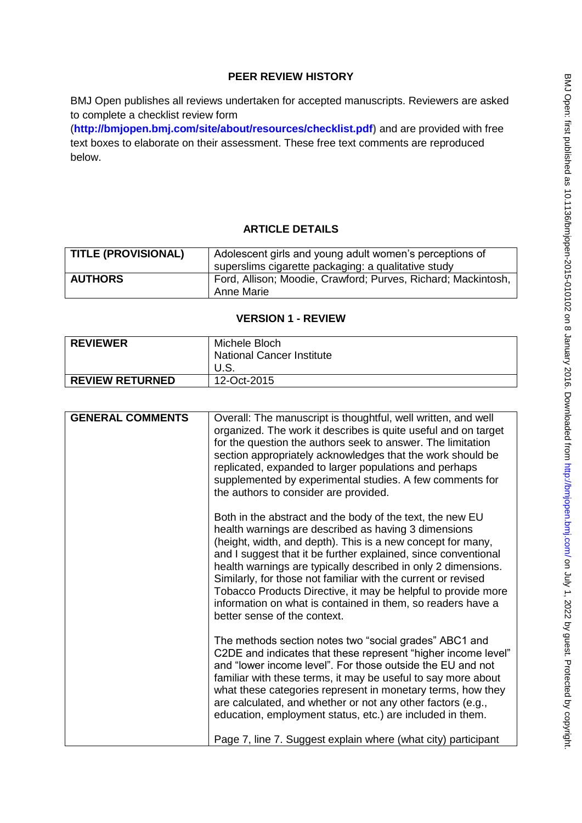# **PEER REVIEW HISTORY**

BMJ Open publishes all reviews undertaken for accepted manuscripts. Reviewers are asked to complete a checklist review form

(**[http://bmjopen.bmj.com/site/about/resources/checklist.pdf\)](http://bmjopen.bmj.com/site/about/resources/checklist.pdf)** and are provided with free text boxes to elaborate on their assessment. These free text comments are reproduced below.

# **ARTICLE DETAILS**

| <b>TITLE (PROVISIONAL)</b> | Adolescent girls and young adult women's perceptions of       |
|----------------------------|---------------------------------------------------------------|
|                            | superslims cigarette packaging: a qualitative study           |
| <b>AUTHORS</b>             | Ford, Allison; Moodie, Crawford; Purves, Richard; Mackintosh, |
|                            | Anne Marie                                                    |

## **VERSION 1 - REVIEW**

| <b>REVIEWER</b>        | Michele Bloch                    |
|------------------------|----------------------------------|
|                        | <b>National Cancer Institute</b> |
|                        |                                  |
| <b>REVIEW RETURNED</b> | 12-Oct-2015                      |

| <b>GENERAL COMMENTS</b> | Overall: The manuscript is thoughtful, well written, and well<br>organized. The work it describes is quite useful and on target<br>for the question the authors seek to answer. The limitation<br>section appropriately acknowledges that the work should be<br>replicated, expanded to larger populations and perhaps<br>supplemented by experimental studies. A few comments for                                                                                                                                                                                                            |
|-------------------------|-----------------------------------------------------------------------------------------------------------------------------------------------------------------------------------------------------------------------------------------------------------------------------------------------------------------------------------------------------------------------------------------------------------------------------------------------------------------------------------------------------------------------------------------------------------------------------------------------|
|                         | the authors to consider are provided.<br>Both in the abstract and the body of the text, the new EU<br>health warnings are described as having 3 dimensions<br>(height, width, and depth). This is a new concept for many,<br>and I suggest that it be further explained, since conventional<br>health warnings are typically described in only 2 dimensions.<br>Similarly, for those not familiar with the current or revised<br>Tobacco Products Directive, it may be helpful to provide more<br>information on what is contained in them, so readers have a<br>better sense of the context. |
|                         | The methods section notes two "social grades" ABC1 and<br>C2DE and indicates that these represent "higher income level"<br>and "lower income level". For those outside the EU and not<br>familiar with these terms, it may be useful to say more about<br>what these categories represent in monetary terms, how they<br>are calculated, and whether or not any other factors (e.g.,<br>education, employment status, etc.) are included in them.<br>Page 7, line 7. Suggest explain where (what city) participant                                                                            |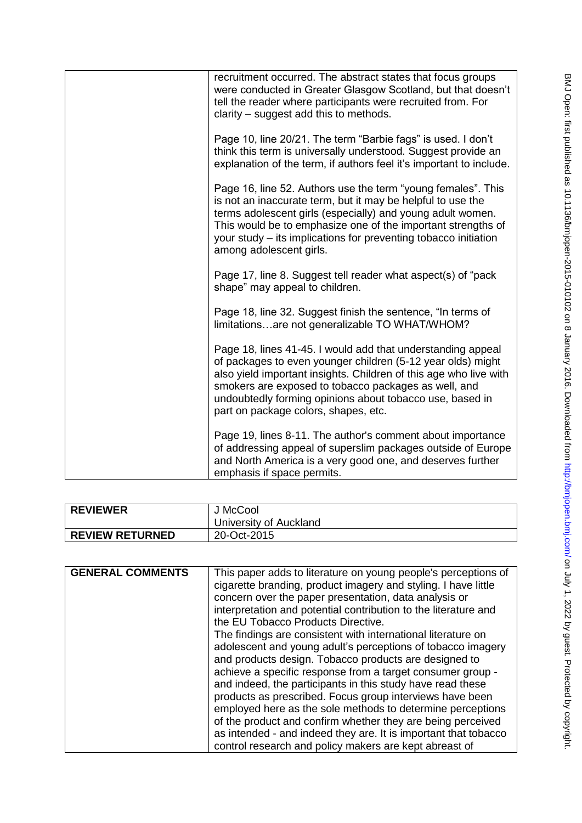| recruitment occurred. The abstract states that focus groups<br>were conducted in Greater Glasgow Scotland, but that doesn't<br>tell the reader where participants were recruited from. For<br>clarity – suggest add this to methods.                                                                                                                        |
|-------------------------------------------------------------------------------------------------------------------------------------------------------------------------------------------------------------------------------------------------------------------------------------------------------------------------------------------------------------|
| Page 10, line 20/21. The term "Barbie fags" is used. I don't<br>think this term is universally understood. Suggest provide an<br>explanation of the term, if authors feel it's important to include.                                                                                                                                                        |
| Page 16, line 52. Authors use the term "young females". This<br>is not an inaccurate term, but it may be helpful to use the<br>terms adolescent girls (especially) and young adult women.<br>This would be to emphasize one of the important strengths of<br>your study – its implications for preventing tobacco initiation<br>among adolescent girls.     |
| Page 17, line 8. Suggest tell reader what aspect(s) of "pack<br>shape" may appeal to children.                                                                                                                                                                                                                                                              |
| Page 18, line 32. Suggest finish the sentence, "In terms of<br>limitationsare not generalizable TO WHAT/WHOM?                                                                                                                                                                                                                                               |
| Page 18, lines 41-45. I would add that understanding appeal<br>of packages to even younger children (5-12 year olds) might<br>also yield important insights. Children of this age who live with<br>smokers are exposed to tobacco packages as well, and<br>undoubtedly forming opinions about tobacco use, based in<br>part on package colors, shapes, etc. |
| Page 19, lines 8-11. The author's comment about importance<br>of addressing appeal of superslim packages outside of Europe<br>and North America is a very good one, and deserves further<br>emphasis if space permits.                                                                                                                                      |

| <b>REVIEWER</b>        | J McCool               |
|------------------------|------------------------|
|                        | University of Auckland |
| <b>REVIEW RETURNED</b> | 20-Oct-2015            |

| <b>GENERAL COMMENTS</b> | This paper adds to literature on young people's perceptions of<br>cigarette branding, product imagery and styling. I have little<br>concern over the paper presentation, data analysis or                                                                                                                                                                                                                                                                                                                 |
|-------------------------|-----------------------------------------------------------------------------------------------------------------------------------------------------------------------------------------------------------------------------------------------------------------------------------------------------------------------------------------------------------------------------------------------------------------------------------------------------------------------------------------------------------|
|                         | interpretation and potential contribution to the literature and<br>the EU Tobacco Products Directive.                                                                                                                                                                                                                                                                                                                                                                                                     |
|                         | The findings are consistent with international literature on<br>adolescent and young adult's perceptions of tobacco imagery<br>and products design. Tobacco products are designed to<br>achieve a specific response from a target consumer group -<br>and indeed, the participants in this study have read these<br>products as prescribed. Focus group interviews have been<br>employed here as the sole methods to determine perceptions<br>of the product and confirm whether they are being perceived |
|                         | as intended - and indeed they are. It is important that tobacco<br>control research and policy makers are kept abreast of                                                                                                                                                                                                                                                                                                                                                                                 |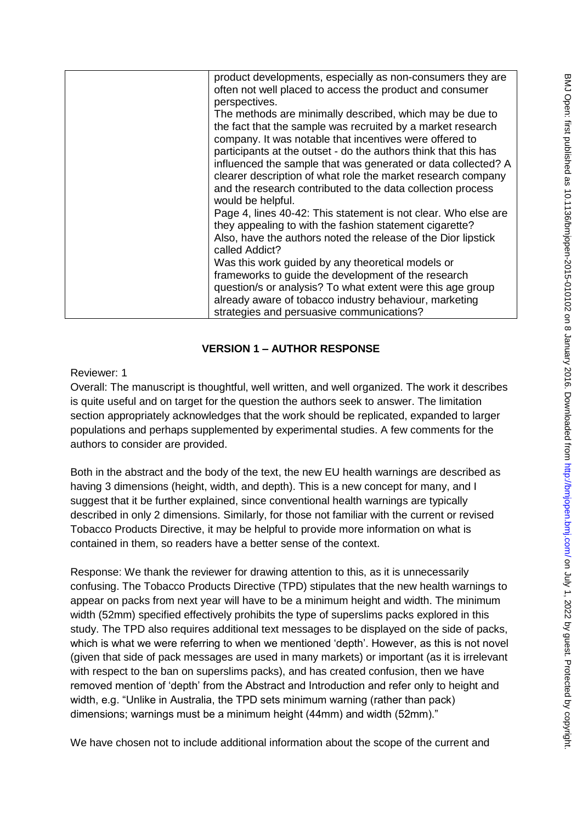| product developments, especially as non-consumers they are      |
|-----------------------------------------------------------------|
| often not well placed to access the product and consumer        |
| perspectives.                                                   |
|                                                                 |
| The methods are minimally described, which may be due to        |
| the fact that the sample was recruited by a market research     |
| company. It was notable that incentives were offered to         |
| participants at the outset - do the authors think that this has |
|                                                                 |
| influenced the sample that was generated or data collected? A   |
| clearer description of what role the market research company    |
| and the research contributed to the data collection process     |
| would be helpful.                                               |
|                                                                 |
| Page 4, lines 40-42: This statement is not clear. Who else are  |
| they appealing to with the fashion statement cigarette?         |
| Also, have the authors noted the release of the Dior lipstick   |
| called Addict?                                                  |
|                                                                 |
| Was this work guided by any theoretical models or               |
| frameworks to guide the development of the research             |
| question/s or analysis? To what extent were this age group      |
| already aware of tobacco industry behaviour, marketing          |
|                                                                 |
| strategies and persuasive communications?                       |

## **VERSION 1 – AUTHOR RESPONSE**

Reviewer: 1

Overall: The manuscript is thoughtful, well written, and well organized. The work it describes is quite useful and on target for the question the authors seek to answer. The limitation section appropriately acknowledges that the work should be replicated, expanded to larger populations and perhaps supplemented by experimental studies. A few comments for the authors to consider are provided.

Both in the abstract and the body of the text, the new EU health warnings are described as having 3 dimensions (height, width, and depth). This is a new concept for many, and I suggest that it be further explained, since conventional health warnings are typically described in only 2 dimensions. Similarly, for those not familiar with the current or revised Tobacco Products Directive, it may be helpful to provide more information on what is contained in them, so readers have a better sense of the context.

Response: We thank the reviewer for drawing attention to this, as it is unnecessarily confusing. The Tobacco Products Directive (TPD) stipulates that the new health warnings to appear on packs from next year will have to be a minimum height and width. The minimum width (52mm) specified effectively prohibits the type of superslims packs explored in this study. The TPD also requires additional text messages to be displayed on the side of packs, which is what we were referring to when we mentioned 'depth'. However, as this is not novel (given that side of pack messages are used in many markets) or important (as it is irrelevant with respect to the ban on superslims packs), and has created confusion, then we have removed mention of 'depth' from the Abstract and Introduction and refer only to height and width, e.g. "Unlike in Australia, the TPD sets minimum warning (rather than pack) dimensions; warnings must be a minimum height (44mm) and width (52mm)."

We have chosen not to include additional information about the scope of the current and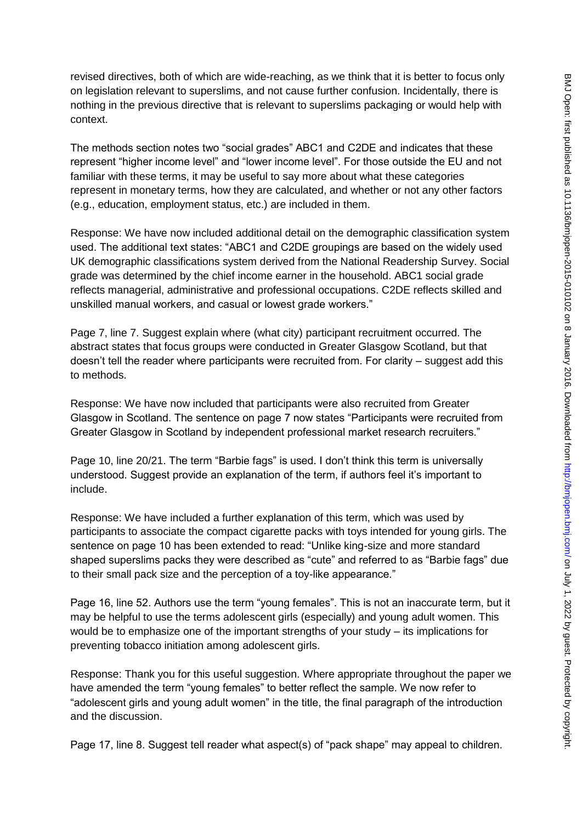revised directives, both of which are wide-reaching, as we think that it is better to focus only on legislation relevant to superslims, and not cause further confusion. Incidentally, there is nothing in the previous directive that is relevant to superslims packaging or would help with context.

The methods section notes two "social grades" ABC1 and C2DE and indicates that these represent "higher income level" and "lower income level". For those outside the EU and not familiar with these terms, it may be useful to say more about what these categories represent in monetary terms, how they are calculated, and whether or not any other factors (e.g., education, employment status, etc.) are included in them.

Response: We have now included additional detail on the demographic classification system used. The additional text states: "ABC1 and C2DE groupings are based on the widely used UK demographic classifications system derived from the National Readership Survey. Social grade was determined by the chief income earner in the household. ABC1 social grade reflects managerial, administrative and professional occupations. C2DE reflects skilled and unskilled manual workers, and casual or lowest grade workers."

Page 7, line 7. Suggest explain where (what city) participant recruitment occurred. The abstract states that focus groups were conducted in Greater Glasgow Scotland, but that doesn't tell the reader where participants were recruited from. For clarity – suggest add this to methods.

Response: We have now included that participants were also recruited from Greater Glasgow in Scotland. The sentence on page 7 now states "Participants were recruited from Greater Glasgow in Scotland by independent professional market research recruiters."

Page 10, line 20/21. The term "Barbie fags" is used. I don't think this term is universally understood. Suggest provide an explanation of the term, if authors feel it's important to include.

Response: We have included a further explanation of this term, which was used by participants to associate the compact cigarette packs with toys intended for young girls. The sentence on page 10 has been extended to read: "Unlike king-size and more standard shaped superslims packs they were described as "cute" and referred to as "Barbie fags" due to their small pack size and the perception of a toy-like appearance."

Page 16, line 52. Authors use the term "young females". This is not an inaccurate term, but it may be helpful to use the terms adolescent girls (especially) and young adult women. This would be to emphasize one of the important strengths of your study – its implications for preventing tobacco initiation among adolescent girls.

Response: Thank you for this useful suggestion. Where appropriate throughout the paper we have amended the term "young females" to better reflect the sample. We now refer to "adolescent girls and young adult women" in the title, the final paragraph of the introduction and the discussion.

Page 17, line 8. Suggest tell reader what aspect(s) of "pack shape" may appeal to children.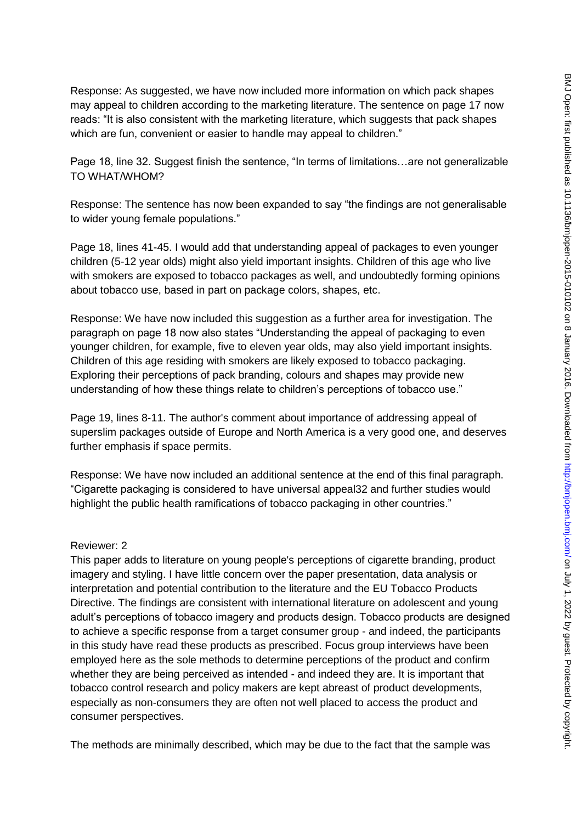Response: As suggested, we have now included more information on which pack shapes may appeal to children according to the marketing literature. The sentence on page 17 now reads: "It is also consistent with the marketing literature, which suggests that pack shapes which are fun, convenient or easier to handle may appeal to children."

Page 18, line 32. Suggest finish the sentence, "In terms of limitations…are not generalizable TO WHAT/WHOM?

Response: The sentence has now been expanded to say "the findings are not generalisable to wider young female populations."

Page 18, lines 41-45. I would add that understanding appeal of packages to even younger children (5-12 year olds) might also yield important insights. Children of this age who live with smokers are exposed to tobacco packages as well, and undoubtedly forming opinions about tobacco use, based in part on package colors, shapes, etc.

Response: We have now included this suggestion as a further area for investigation. The paragraph on page 18 now also states "Understanding the appeal of packaging to even younger children, for example, five to eleven year olds, may also yield important insights. Children of this age residing with smokers are likely exposed to tobacco packaging. Exploring their perceptions of pack branding, colours and shapes may provide new understanding of how these things relate to children's perceptions of tobacco use."

Page 19, lines 8-11. The author's comment about importance of addressing appeal of superslim packages outside of Europe and North America is a very good one, and deserves further emphasis if space permits.

Response: We have now included an additional sentence at the end of this final paragraph. "Cigarette packaging is considered to have universal appeal32 and further studies would highlight the public health ramifications of tobacco packaging in other countries."

#### Reviewer: 2

This paper adds to literature on young people's perceptions of cigarette branding, product imagery and styling. I have little concern over the paper presentation, data analysis or interpretation and potential contribution to the literature and the EU Tobacco Products Directive. The findings are consistent with international literature on adolescent and young adult's perceptions of tobacco imagery and products design. Tobacco products are designed to achieve a specific response from a target consumer group - and indeed, the participants in this study have read these products as prescribed. Focus group interviews have been employed here as the sole methods to determine perceptions of the product and confirm whether they are being perceived as intended - and indeed they are. It is important that tobacco control research and policy makers are kept abreast of product developments, especially as non-consumers they are often not well placed to access the product and consumer perspectives.

The methods are minimally described, which may be due to the fact that the sample was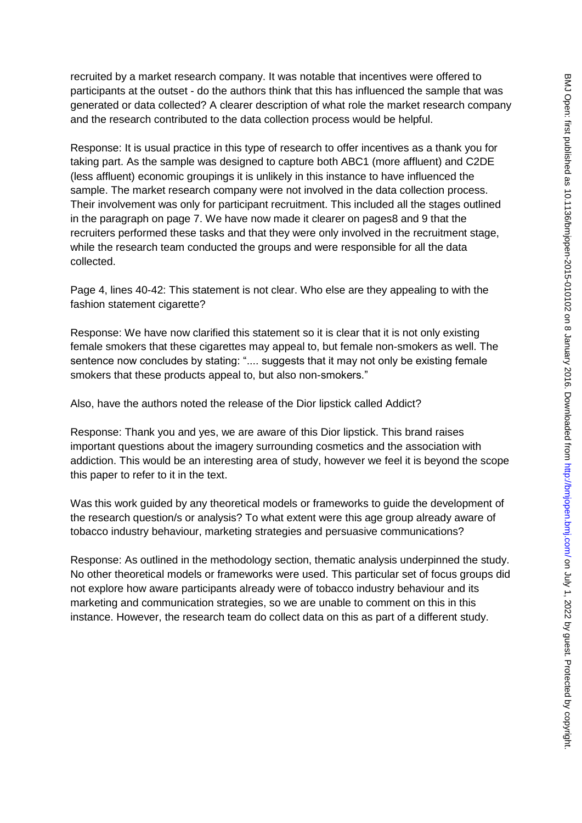recruited by a market research company. It was notable that incentives were offered to participants at the outset - do the authors think that this has influenced the sample that was generated or data collected? A clearer description of what role the market research company and the research contributed to the data collection process would be helpful.

Response: It is usual practice in this type of research to offer incentives as a thank you for taking part. As the sample was designed to capture both ABC1 (more affluent) and C2DE (less affluent) economic groupings it is unlikely in this instance to have influenced the sample. The market research company were not involved in the data collection process. Their involvement was only for participant recruitment. This included all the stages outlined in the paragraph on page 7. We have now made it clearer on pages8 and 9 that the recruiters performed these tasks and that they were only involved in the recruitment stage, while the research team conducted the groups and were responsible for all the data collected.

Page 4, lines 40-42: This statement is not clear. Who else are they appealing to with the fashion statement cigarette?

Response: We have now clarified this statement so it is clear that it is not only existing female smokers that these cigarettes may appeal to, but female non-smokers as well. The sentence now concludes by stating: ".... suggests that it may not only be existing female smokers that these products appeal to, but also non-smokers."

Also, have the authors noted the release of the Dior lipstick called Addict?

Response: Thank you and yes, we are aware of this Dior lipstick. This brand raises important questions about the imagery surrounding cosmetics and the association with addiction. This would be an interesting area of study, however we feel it is beyond the scope this paper to refer to it in the text.

Was this work guided by any theoretical models or frameworks to guide the development of the research question/s or analysis? To what extent were this age group already aware of tobacco industry behaviour, marketing strategies and persuasive communications?

Response: As outlined in the methodology section, thematic analysis underpinned the study. No other theoretical models or frameworks were used. This particular set of focus groups did not explore how aware participants already were of tobacco industry behaviour and its marketing and communication strategies, so we are unable to comment on this in this instance. However, the research team do collect data on this as part of a different study.